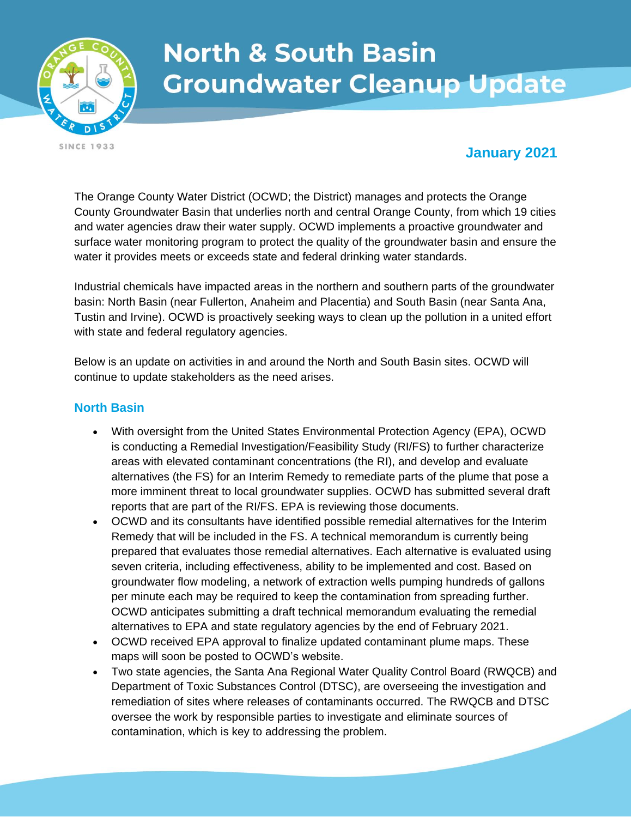

# **North & South Basin Groundwater Cleanup Update**

**SINCE 1933** 

## **January 2021**

The Orange County Water District (OCWD; the District) manages and protects the Orange County Groundwater Basin that underlies north and central Orange County, from which 19 cities and water agencies draw their water supply. OCWD implements a proactive groundwater and surface water monitoring program to protect the quality of the groundwater basin and ensure the water it provides meets or exceeds state and federal drinking water standards.

Industrial chemicals have impacted areas in the northern and southern parts of the groundwater basin: North Basin (near Fullerton, Anaheim and Placentia) and South Basin (near Santa Ana, Tustin and Irvine). OCWD is proactively seeking ways to clean up the pollution in a united effort with state and federal regulatory agencies.

Below is an update on activities in and around the North and South Basin sites. OCWD will continue to update stakeholders as the need arises.

#### **North Basin**

- With oversight from the United States Environmental Protection Agency (EPA), OCWD is conducting a Remedial Investigation/Feasibility Study (RI/FS) to further characterize areas with elevated contaminant concentrations (the RI), and develop and evaluate alternatives (the FS) for an Interim Remedy to remediate parts of the plume that pose a more imminent threat to local groundwater supplies. OCWD has submitted several draft reports that are part of the RI/FS. EPA is reviewing those documents.
- OCWD and its consultants have identified possible remedial alternatives for the Interim Remedy that will be included in the FS. A technical memorandum is currently being prepared that evaluates those remedial alternatives. Each alternative is evaluated using seven criteria, including effectiveness, ability to be implemented and cost. Based on groundwater flow modeling, a network of extraction wells pumping hundreds of gallons per minute each may be required to keep the contamination from spreading further. OCWD anticipates submitting a draft technical memorandum evaluating the remedial alternatives to EPA and state regulatory agencies by the end of February 2021.
- OCWD received EPA approval to finalize updated contaminant plume maps. These maps will soon be posted to OCWD's website.
- Two state agencies, the Santa Ana Regional Water Quality Control Board (RWQCB) and Department of Toxic Substances Control (DTSC), are overseeing the investigation and remediation of sites where releases of contaminants occurred. The RWQCB and DTSC oversee the work by responsible parties to investigate and eliminate sources of contamination, which is key to addressing the problem.